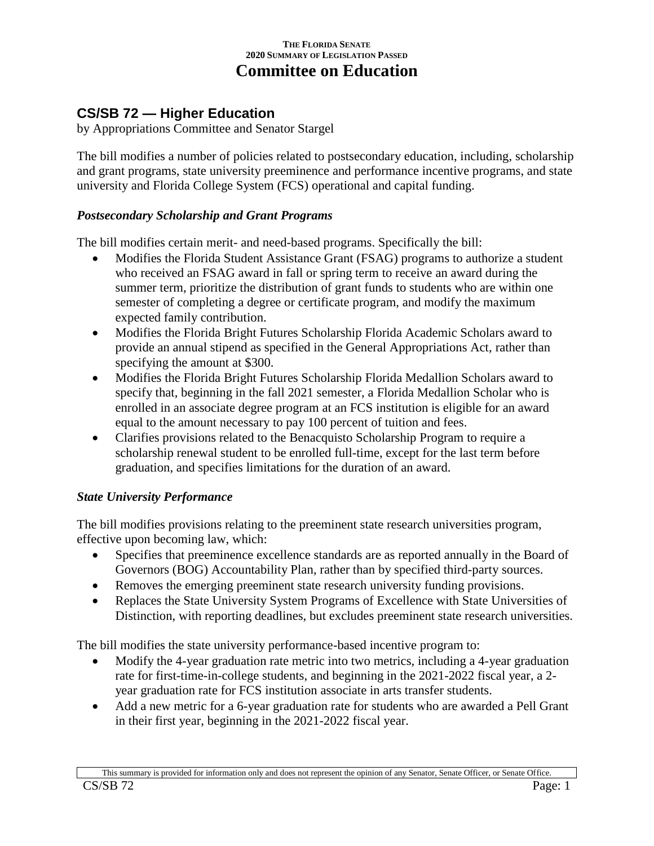#### **THE FLORIDA SENATE 2020 SUMMARY OF LEGISLATION PASSED Committee on Education**

# **CS/SB 72 — Higher Education**

by Appropriations Committee and Senator Stargel

The bill modifies a number of policies related to postsecondary education, including, scholarship and grant programs, state university preeminence and performance incentive programs, and state university and Florida College System (FCS) operational and capital funding.

#### *Postsecondary Scholarship and Grant Programs*

The bill modifies certain merit- and need-based programs. Specifically the bill:

- Modifies the Florida Student Assistance Grant (FSAG) programs to authorize a student who received an FSAG award in fall or spring term to receive an award during the summer term, prioritize the distribution of grant funds to students who are within one semester of completing a degree or certificate program, and modify the maximum expected family contribution.
- Modifies the Florida Bright Futures Scholarship Florida Academic Scholars award to provide an annual stipend as specified in the General Appropriations Act, rather than specifying the amount at \$300.
- Modifies the Florida Bright Futures Scholarship Florida Medallion Scholars award to specify that, beginning in the fall 2021 semester, a Florida Medallion Scholar who is enrolled in an associate degree program at an FCS institution is eligible for an award equal to the amount necessary to pay 100 percent of tuition and fees.
- Clarifies provisions related to the Benacquisto Scholarship Program to require a scholarship renewal student to be enrolled full-time, except for the last term before graduation, and specifies limitations for the duration of an award.

## *State University Performance*

The bill modifies provisions relating to the preeminent state research universities program, effective upon becoming law, which:

- Specifies that preeminence excellence standards are as reported annually in the Board of Governors (BOG) Accountability Plan, rather than by specified third-party sources.
- Removes the emerging preeminent state research university funding provisions.
- Replaces the State University System Programs of Excellence with State Universities of Distinction, with reporting deadlines, but excludes preeminent state research universities.

The bill modifies the state university performance-based incentive program to:

- Modify the 4-year graduation rate metric into two metrics, including a 4-year graduation rate for first-time-in-college students, and beginning in the 2021-2022 fiscal year, a 2 year graduation rate for FCS institution associate in arts transfer students.
- Add a new metric for a 6-year graduation rate for students who are awarded a Pell Grant in their first year, beginning in the 2021-2022 fiscal year.